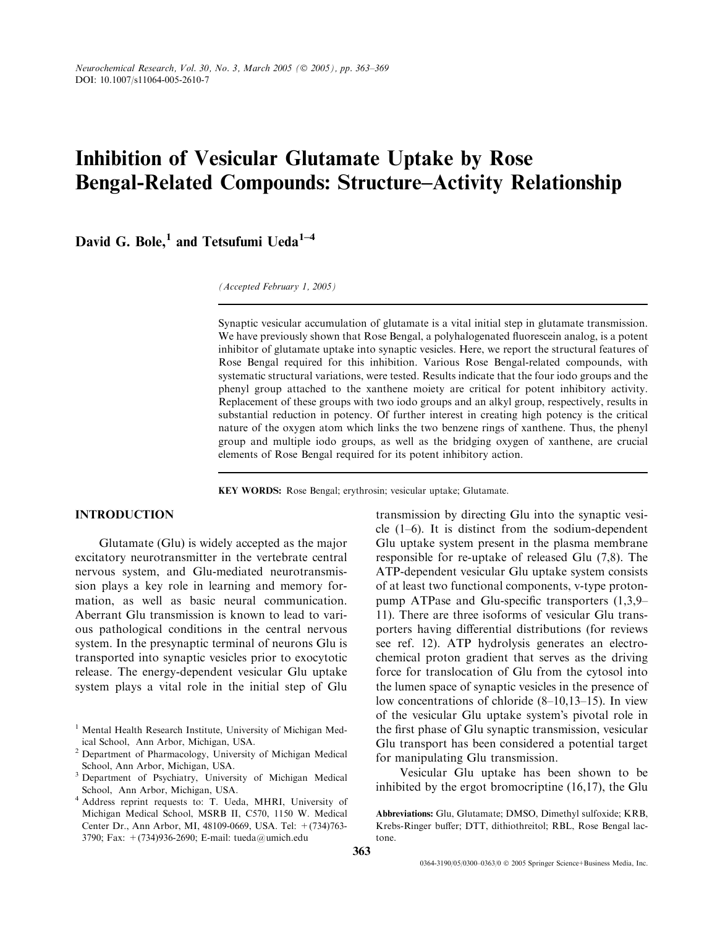# Inhibition of Vesicular Glutamate Uptake by Rose Bengal-Related Compounds: Structure–Activity Relationship

David G. Bole,<sup>1</sup> and Tetsufumi Ueda<sup>1-4</sup>

(Accepted February 1, 2005)

Synaptic vesicular accumulation of glutamate is a vital initial step in glutamate transmission. We have previously shown that Rose Bengal, a polyhalogenated fluorescein analog, is a potent inhibitor of glutamate uptake into synaptic vesicles. Here, we report the structural features of Rose Bengal required for this inhibition. Various Rose Bengal-related compounds, with systematic structural variations, were tested. Results indicate that the four iodo groups and the phenyl group attached to the xanthene moiety are critical for potent inhibitory activity. Replacement of these groups with two iodo groups and an alkyl group, respectively, results in substantial reduction in potency. Of further interest in creating high potency is the critical nature of the oxygen atom which links the two benzene rings of xanthene. Thus, the phenyl group and multiple iodo groups, as well as the bridging oxygen of xanthene, are crucial elements of Rose Bengal required for its potent inhibitory action.

KEY WORDS: Rose Bengal; erythrosin; vesicular uptake; Glutamate.

# INTRODUCTION

Glutamate (Glu) is widely accepted as the major excitatory neurotransmitter in the vertebrate central nervous system, and Glu-mediated neurotransmission plays a key role in learning and memory formation, as well as basic neural communication. Aberrant Glu transmission is known to lead to various pathological conditions in the central nervous system. In the presynaptic terminal of neurons Glu is transported into synaptic vesicles prior to exocytotic release. The energy-dependent vesicular Glu uptake system plays a vital role in the initial step of Glu transmission by directing Glu into the synaptic vesicle  $(1-6)$ . It is distinct from the sodium-dependent Glu uptake system present in the plasma membrane responsible for re-uptake of released Glu (7,8). The ATP-dependent vesicular Glu uptake system consists of at least two functional components, v-type protonpump ATPase and Glu-specific transporters (1,3,9– 11). There are three isoforms of vesicular Glu transporters having differential distributions (for reviews see ref. 12). ATP hydrolysis generates an electrochemical proton gradient that serves as the driving force for translocation of Glu from the cytosol into the lumen space of synaptic vesicles in the presence of low concentrations of chloride (8–10,13–15). In view of the vesicular Glu uptake system's pivotal role in the first phase of Glu synaptic transmission, vesicular Glu transport has been considered a potential target for manipulating Glu transmission.

Vesicular Glu uptake has been shown to be inhibited by the ergot bromocriptine (16,17), the Glu

Abbreviations: Glu, Glutamate; DMSO, Dimethyl sulfoxide; KRB, Krebs-Ringer buffer; DTT, dithiothreitol; RBL, Rose Bengal lactone.

<sup>&</sup>lt;sup>1</sup> Mental Health Research Institute, University of Michigan Medical School, Ann Arbor, Michigan, USA.

<sup>2</sup> Department of Pharmacology, University of Michigan Medical School, Ann Arbor, Michigan, USA.

<sup>3</sup> Department of Psychiatry, University of Michigan Medical School, Ann Arbor, Michigan, USA.

<sup>4</sup> Address reprint requests to: T. Ueda, MHRI, University of Michigan Medical School, MSRB II, C570, 1150 W. Medical Center Dr., Ann Arbor, MI, 48109-0669, USA. Tel: +(734)763- 3790; Fax: +(734)936-2690; E-mail: tueda@umich.edu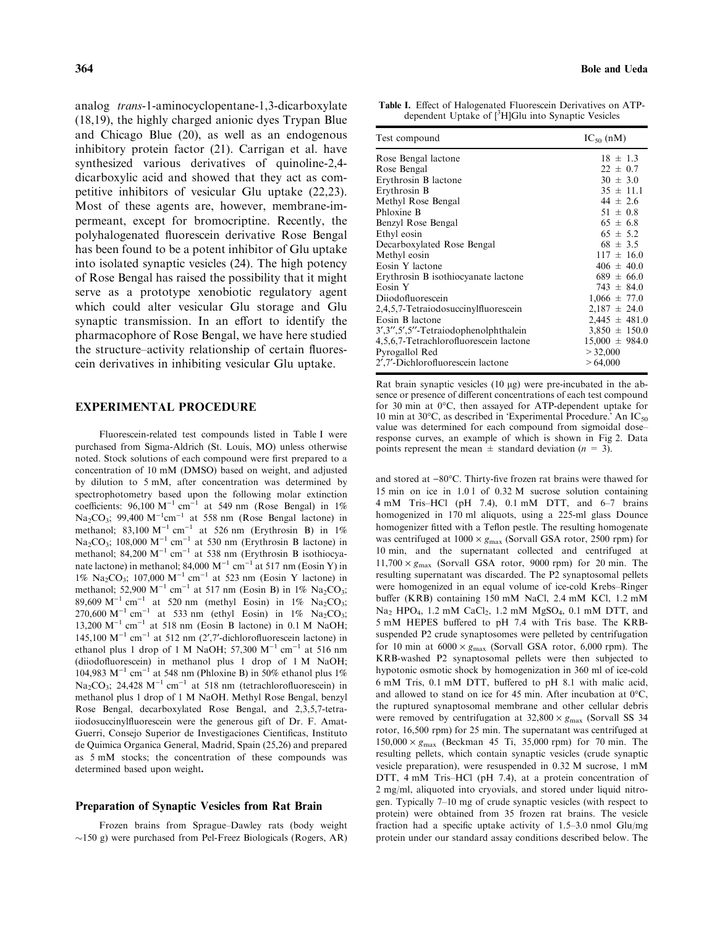analog trans-1-aminocyclopentane-1,3-dicarboxylate (18,19), the highly charged anionic dyes Trypan Blue and Chicago Blue (20), as well as an endogenous inhibitory protein factor (21). Carrigan et al. have synthesized various derivatives of quinoline-2,4 dicarboxylic acid and showed that they act as competitive inhibitors of vesicular Glu uptake (22,23). Most of these agents are, however, membrane-impermeant, except for bromocriptine. Recently, the polyhalogenated fluorescein derivative Rose Bengal has been found to be a potent inhibitor of Glu uptake into isolated synaptic vesicles (24). The high potency of Rose Bengal has raised the possibility that it might serve as a prototype xenobiotic regulatory agent which could alter vesicular Glu storage and Glu synaptic transmission. In an effort to identify the pharmacophore of Rose Bengal, we have here studied the structure–activity relationship of certain fluorescein derivatives in inhibiting vesicular Glu uptake.

#### EXPERIMENTAL PROCEDURE

Fluorescein-related test compounds listed in Table I were purchased from Sigma-Aldrich (St. Louis, MO) unless otherwise noted. Stock solutions of each compound were first prepared to a concentration of 10 mM (DMSO) based on weight, and adjusted by dilution to 5 mM, after concentration was determined by spectrophotometry based upon the following molar extinction coefficients:  $96,100 \text{ M}^{-1} \text{ cm}^{-1}$  at 549 nm (Rose Bengal) in 1%  $Na<sub>2</sub>CO<sub>3</sub>$ ; 99,400  $M^{-1}cm^{-1}$  at 558 nm (Rose Bengal lactone) in methanol; 83,100  $M^{-1}$  cm<sup>-1</sup> at 526 nm (Erythrosin B) in 1% Na<sub>2</sub>CO<sub>3</sub>; 108,000 M<sup>-1</sup> cm<sup>-1</sup> at 530 nm (Erythrosin B lactone) in methanol; 84,200 M<sup>-1</sup> cm<sup>-1</sup> at 538 nm (Erythrosin B isothiocyanate lactone) in methanol; 84,000  $M^{-1}$  cm<sup>-1</sup> at 517 nm (Eosin Y) in 1% Na<sub>2</sub>CO<sub>3</sub>; 107,000 M<sup>-1</sup> cm<sup>-1</sup> at 523 nm (Eosin Y lactone) in methanol; 52,900  $M^{-1}$  cm<sup>-1</sup> at 517 nm (Eosin B) in 1% Na<sub>2</sub>CO<sub>3</sub>; 89,609 M<sup>-1</sup> cm<sup>-1</sup> at 520 nm (methyl Eosin) in 1% Na<sub>2</sub>CO<sub>3</sub>; 270,600 M<sup>-1</sup> cm<sup>-1</sup> at 533 nm (ethyl Eosin) in 1% Na<sub>2</sub>CO<sub>3</sub>; 13,200  $M^{-1}$  cm<sup>-1</sup> at 518 nm (Eosin B lactone) in 0.1 M NaOH; 145,100  $M^{-1}$  cm<sup>-1</sup> at 512 nm (2',7'-dichlorofluorescein lactone) in ethanol plus 1 drop of 1 M NaOH; 57,300  $M^{-1}$  cm<sup>-1</sup> at 516 nm (diiodofluorescein) in methanol plus 1 drop of 1 M NaOH; 104,983 M<sup>-1</sup> cm<sup>-1</sup> at 548 nm (Phloxine B) in 50% ethanol plus 1% Na<sub>2</sub>CO<sub>3</sub>; 24,428 M<sup>-1</sup> cm<sup>-1</sup> at 518 nm (tetrachlorofluorescein) in methanol plus 1 drop of 1 M NaOH. Methyl Rose Bengal, benzyl Rose Bengal, decarboxylated Rose Bengal, and 2,3,5,7-tetraiiodosuccinylfluorescein were the generous gift of Dr. F. Amat-Guerri, Consejo Superior de Investigaciones Cientificas, Instituto de Quimica Organica General, Madrid, Spain (25,26) and prepared as 5 mM stocks; the concentration of these compounds was determined based upon weight.

#### Preparation of Synaptic Vesicles from Rat Brain

Frozen brains from Sprague–Dawley rats (body weight  $\sim$ 150 g) were purchased from Pel-Freez Biologicals (Rogers, AR)

Table I. Effect of Halogenated Fluorescein Derivatives on ATPdependent Uptake of [<sup>3</sup>H]Glu into Synaptic Vesicles

| Test compound                           | $IC_{50}$ (nM)     |
|-----------------------------------------|--------------------|
| Rose Bengal lactone                     | $18 \pm 1.3$       |
| Rose Bengal                             | $22 \pm 0.7$       |
| Erythrosin B lactone                    | $30 \pm 3.0$       |
| Erythrosin B                            | $35 \pm 11.1$      |
| Methyl Rose Bengal                      | $44 \pm 2.6$       |
| Phloxine B                              | $51 \pm 0.8$       |
| Benzyl Rose Bengal                      | $65 \pm 6.8$       |
| Ethyl eosin                             | $65 \pm 5.2$       |
| Decarboxylated Rose Bengal              | $68 \pm 3.5$       |
| Methyl eosin                            | $117 \pm 16.0$     |
| Eosin Y lactone                         | $406 \pm 40.0$     |
| Erythrosin B isothiocyanate lactone     | $689 \pm 66.0$     |
| Eosin Y                                 | $743 \pm 84.0$     |
| Diiodofluorescein                       | $1,066 \pm 77.0$   |
| 2,4,5,7-Tetraiodosuccinylfluorescein    | $2,187 \pm 24.0$   |
| Eosin B lactone                         | $2,445 \pm 481.0$  |
| 3', 3", 5', 5"-Tetraiodophenolphthalein | $3,850 \pm 150.0$  |
| 4,5,6,7-Tetrachlorofluorescein lactone  | $15,000 \pm 984.0$ |
| Pyrogallol Red                          | > 32,000           |
| 2',7'-Dichlorofluorescein lactone       | >64,000            |

Rat brain synaptic vesicles  $(10 \mu g)$  were pre-incubated in the absence or presence of different concentrations of each test compound for 30 min at 0°C, then assayed for ATP-dependent uptake for 10 min at 30 $^{\circ}$ C, as described in 'Experimental Procedure.' An IC<sub>50</sub> value was determined for each compound from sigmoidal dose– response curves, an example of which is shown in Fig 2. Data points represent the mean  $\pm$  standard deviation ( $n = 3$ ).

and stored at  $-80^{\circ}$ C. Thirty-five frozen rat brains were thawed for 15 min on ice in 1.0 l of 0.32 M sucrose solution containing 4 mM Tris–HCl (pH 7.4), 0.1 mM DTT, and 6–7 brains homogenized in 170 ml aliquots, using a 225-ml glass Dounce homogenizer fitted with a Teflon pestle. The resulting homogenate was centrifuged at  $1000 \times g_{\text{max}}$  (Sorvall GSA rotor, 2500 rpm) for 10 min, and the supernatant collected and centrifuged at  $11,700 \times g_{\text{max}}$  (Sorvall GSA rotor, 9000 rpm) for 20 min. The resulting supernatant was discarded. The P2 synaptosomal pellets were homogenized in an equal volume of ice-cold Krebs–Ringer buffer (KRB) containing 150 mM NaCl, 2.4 mM KCl, 1.2 mM  $Na<sub>2</sub> HPO<sub>4</sub>$ , 1.2 mM CaCl<sub>2</sub>, 1.2 mM MgSO<sub>4</sub>, 0.1 mM DTT, and 5 mM HEPES buffered to pH 7.4 with Tris base. The KRBsuspended P2 crude synaptosomes were pelleted by centrifugation for 10 min at  $6000 \times g_{\text{max}}$  (Sorvall GSA rotor, 6,000 rpm). The KRB-washed P2 synaptosomal pellets were then subjected to hypotonic osmotic shock by homogenization in 360 ml of ice-cold 6 mM Tris, 0.1 mM DTT, buffered to pH 8.1 with malic acid, and allowed to stand on ice for 45 min. After incubation at  $0^{\circ}$ C, the ruptured synaptosomal membrane and other cellular debris were removed by centrifugation at  $32,800 \times g_{\text{max}}$  (Sorvall SS 34 rotor, 16,500 rpm) for 25 min. The supernatant was centrifuged at  $150,000 \times g_{\text{max}}$  (Beckman 45 Ti, 35,000 rpm) for 70 min. The resulting pellets, which contain synaptic vesicles (crude synaptic vesicle preparation), were resuspended in 0.32 M sucrose, 1 mM DTT, 4 mM Tris–HCl (pH 7.4), at a protein concentration of 2 mg/ml, aliquoted into cryovials, and stored under liquid nitrogen. Typically 7–10 mg of crude synaptic vesicles (with respect to protein) were obtained from 35 frozen rat brains. The vesicle fraction had a specific uptake activity of 1.5–3.0 nmol Glu/mg protein under our standard assay conditions described below. The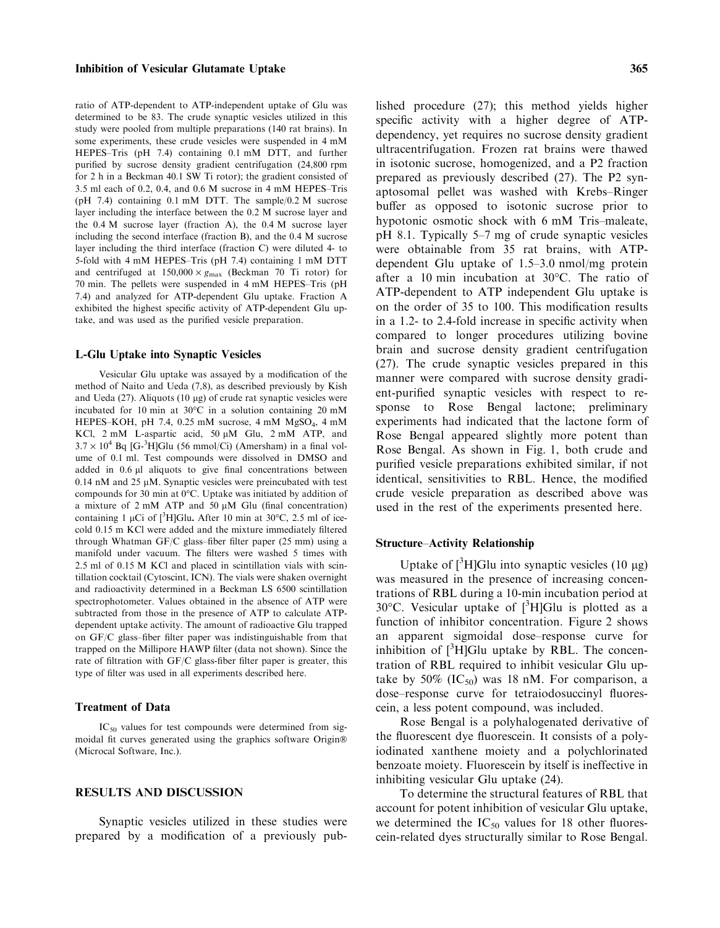## Inhibition of Vesicular Glutamate Uptake 365

ratio of ATP-dependent to ATP-independent uptake of Glu was determined to be 83. The crude synaptic vesicles utilized in this study were pooled from multiple preparations (140 rat brains). In some experiments, these crude vesicles were suspended in 4 mM HEPES–Tris (pH 7.4) containing 0.1 mM DTT, and further purified by sucrose density gradient centrifugation (24,800 rpm for 2 h in a Beckman 40.1 SW Ti rotor); the gradient consisted of 3.5 ml each of 0.2, 0.4, and 0.6 M sucrose in 4 mM HEPES–Tris (pH 7.4) containing 0.1 mM DTT. The sample/0.2 M sucrose layer including the interface between the 0.2 M sucrose layer and the 0.4 M sucrose layer (fraction A), the 0.4 M sucrose layer including the second interface (fraction B), and the 0.4 M sucrose layer including the third interface (fraction C) were diluted 4- to 5-fold with 4 mM HEPES–Tris (pH 7.4) containing 1 mM DTT and centrifuged at  $150,000 \times g_{\text{max}}$  (Beckman 70 Ti rotor) for 70 min. The pellets were suspended in 4 mM HEPES–Tris (pH 7.4) and analyzed for ATP-dependent Glu uptake. Fraction A exhibited the highest specific activity of ATP-dependent Glu uptake, and was used as the purified vesicle preparation.

#### L-Glu Uptake into Synaptic Vesicles

Vesicular Glu uptake was assayed by a modification of the method of Naito and Ueda (7,8), as described previously by Kish and Ueda  $(27)$ . Aliquots  $(10 \mu g)$  of crude rat synaptic vesicles were incubated for 10 min at  $30^{\circ}$ C in a solution containing 20 mM HEPES–KOH, pH 7.4, 0.25 mM sucrose, 4 mM MgSO<sub>4</sub>, 4 mM KCl, 2 mM L-aspartic acid, 50 µM Glu, 2 mM ATP, and  $3.7 \times 10^4$  Bq [G-<sup>3</sup>H]Glu (56 mmol/Ci) (Amersham) in a final volume of 0.1 ml. Test compounds were dissolved in DMSO and added in 0.6 µl aliquots to give final concentrations between  $0.14$  nM and  $25 \mu$ M. Synaptic vesicles were preincubated with test compounds for 30 min at  $0^{\circ}$ C. Uptake was initiated by addition of a mixture of  $2 \text{ mM ATP}$  and  $50 \mu \text{M}$  Glu (final concentration) containing 1 µCi of  $[^{3}H]$ Glu. After 10 min at 30°C, 2.5 ml of icecold 0.15 m KCl were added and the mixture immediately filtered through Whatman GF/C glass–fiber filter paper (25 mm) using a manifold under vacuum. The filters were washed 5 times with 2.5 ml of 0.15 M KCl and placed in scintillation vials with scintillation cocktail (Cytoscint, ICN). The vials were shaken overnight and radioactivity determined in a Beckman LS 6500 scintillation spectrophotometer. Values obtained in the absence of ATP were subtracted from those in the presence of ATP to calculate ATPdependent uptake activity. The amount of radioactive Glu trapped on GF/C glass–fiber filter paper was indistinguishable from that trapped on the Millipore HAWP filter (data not shown). Since the rate of filtration with GF/C glass-fiber filter paper is greater, this type of filter was used in all experiments described here.

## Treatment of Data

 $IC_{50}$  values for test compounds were determined from sigmoidal fit curves generated using the graphics software Origin (Microcal Software, Inc.).

# RESULTS AND DISCUSSION

Synaptic vesicles utilized in these studies were prepared by a modification of a previously published procedure (27); this method yields higher specific activity with a higher degree of ATPdependency, yet requires no sucrose density gradient ultracentrifugation. Frozen rat brains were thawed in isotonic sucrose, homogenized, and a P2 fraction prepared as previously described (27). The P2 synaptosomal pellet was washed with Krebs–Ringer buffer as opposed to isotonic sucrose prior to hypotonic osmotic shock with 6 mM Tris–maleate, pH 8.1. Typically 5–7 mg of crude synaptic vesicles were obtainable from 35 rat brains, with ATPdependent Glu uptake of 1.5–3.0 nmol/mg protein after a 10 min incubation at  $30^{\circ}$ C. The ratio of ATP-dependent to ATP independent Glu uptake is on the order of 35 to 100. This modification results in a 1.2- to 2.4-fold increase in specific activity when compared to longer procedures utilizing bovine brain and sucrose density gradient centrifugation (27). The crude synaptic vesicles prepared in this manner were compared with sucrose density gradient-purified synaptic vesicles with respect to response to Rose Bengal lactone; preliminary experiments had indicated that the lactone form of Rose Bengal appeared slightly more potent than Rose Bengal. As shown in Fig. 1, both crude and purified vesicle preparations exhibited similar, if not identical, sensitivities to RBL. Hence, the modified crude vesicle preparation as described above was used in the rest of the experiments presented here.

## Structure–Activity Relationship

Uptake of  $[3H]$ Glu into synaptic vesicles (10 µg) was measured in the presence of increasing concentrations of RBL during a 10-min incubation period at 30°C. Vesicular uptake of [<sup>3</sup>H]Glu is plotted as a function of inhibitor concentration. Figure 2 shows an apparent sigmoidal dose–response curve for inhibition of  $[{}^3H]$ Glu uptake by RBL. The concentration of RBL required to inhibit vesicular Glu uptake by 50% (IC<sub>50</sub>) was 18 nM. For comparison, a dose–response curve for tetraiodosuccinyl fluorescein, a less potent compound, was included.

Rose Bengal is a polyhalogenated derivative of the fluorescent dye fluorescein. It consists of a polyiodinated xanthene moiety and a polychlorinated benzoate moiety. Fluorescein by itself is ineffective in inhibiting vesicular Glu uptake (24).

To determine the structural features of RBL that account for potent inhibition of vesicular Glu uptake, we determined the  $IC_{50}$  values for 18 other fluorescein-related dyes structurally similar to Rose Bengal.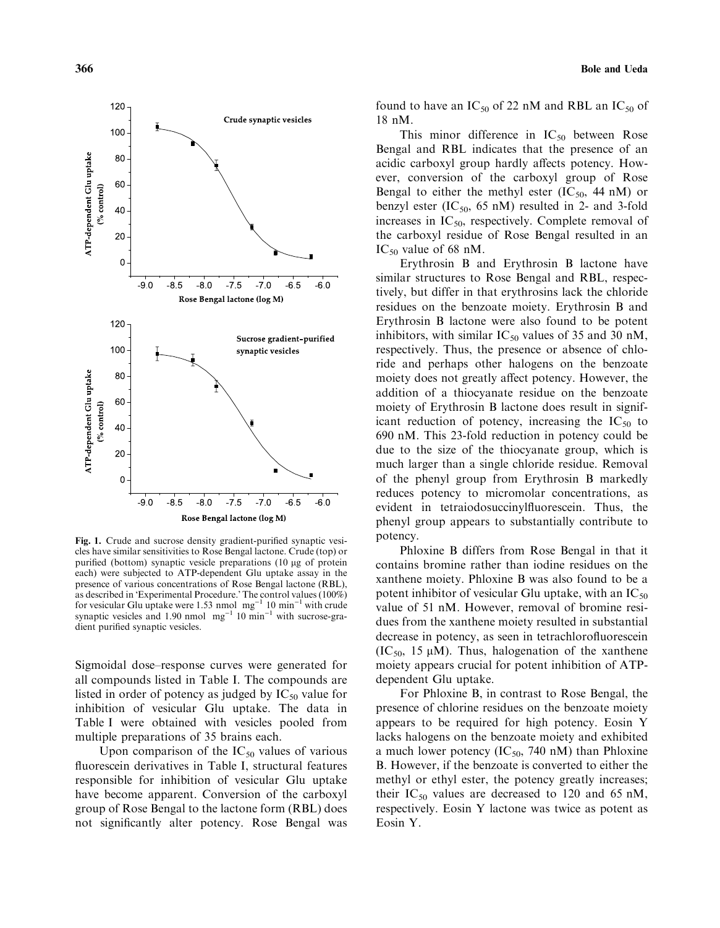

Fig. 1. Crude and sucrose density gradient-purified synaptic vesicles have similar sensitivities to Rose Bengal lactone. Crude (top) or purified (bottom) synaptic vesicle preparations (10 µg of protein each) were subjected to ATP-dependent Glu uptake assay in the presence of various concentrations of Rose Bengal lactone (RBL), as described in 'Experimental Procedure.' The control values (100%)<br>for vesicular Glu uptake were 1.53 nmol mg<sup>-1</sup> 10 min<sup>-1</sup> with crude synaptic vesicles and 1.90 nmol  $mg^{-1}$  10 min<sup>-1</sup> with sucrose-gradient purified synaptic vesicles.

Sigmoidal dose–response curves were generated for all compounds listed in Table I. The compounds are listed in order of potency as judged by  $IC_{50}$  value for inhibition of vesicular Glu uptake. The data in Table I were obtained with vesicles pooled from multiple preparations of 35 brains each.

Upon comparison of the  $IC_{50}$  values of various fluorescein derivatives in Table I, structural features responsible for inhibition of vesicular Glu uptake have become apparent. Conversion of the carboxyl group of Rose Bengal to the lactone form (RBL) does not significantly alter potency. Rose Bengal was found to have an  $IC_{50}$  of 22 nM and RBL an  $IC_{50}$  of 18 nM.

This minor difference in  $IC_{50}$  between Rose Bengal and RBL indicates that the presence of an acidic carboxyl group hardly affects potency. However, conversion of the carboxyl group of Rose Bengal to either the methyl ester  $(IC_{50}, 44 \text{ nM})$  or benzyl ester  $(IC_{50}, 65 \text{ nM})$  resulted in 2- and 3-fold increases in  $IC_{50}$ , respectively. Complete removal of the carboxyl residue of Rose Bengal resulted in an  $IC_{50}$  value of 68 nM.

Erythrosin B and Erythrosin B lactone have similar structures to Rose Bengal and RBL, respectively, but differ in that erythrosins lack the chloride residues on the benzoate moiety. Erythrosin B and Erythrosin B lactone were also found to be potent inhibitors, with similar  $IC_{50}$  values of 35 and 30 nM, respectively. Thus, the presence or absence of chloride and perhaps other halogens on the benzoate moiety does not greatly affect potency. However, the addition of a thiocyanate residue on the benzoate moiety of Erythrosin B lactone does result in significant reduction of potency, increasing the  $IC_{50}$  to 690 nM. This 23-fold reduction in potency could be due to the size of the thiocyanate group, which is much larger than a single chloride residue. Removal of the phenyl group from Erythrosin B markedly reduces potency to micromolar concentrations, as evident in tetraiodosuccinylfluorescein. Thus, the phenyl group appears to substantially contribute to potency.

Phloxine B differs from Rose Bengal in that it contains bromine rather than iodine residues on the xanthene moiety. Phloxine B was also found to be a potent inhibitor of vesicular Glu uptake, with an  $IC_{50}$ value of 51 nM. However, removal of bromine residues from the xanthene moiety resulted in substantial decrease in potency, as seen in tetrachlorofluorescein  $(IC_{50}, 15 \mu M)$ . Thus, halogenation of the xanthene moiety appears crucial for potent inhibition of ATPdependent Glu uptake.

For Phloxine B, in contrast to Rose Bengal, the presence of chlorine residues on the benzoate moiety appears to be required for high potency. Eosin Y lacks halogens on the benzoate moiety and exhibited a much lower potency (IC<sub>50</sub>, 740 nM) than Phloxine B. However, if the benzoate is converted to either the methyl or ethyl ester, the potency greatly increases; their  $IC_{50}$  values are decreased to 120 and 65 nM, respectively. Eosin Y lactone was twice as potent as Eosin Y.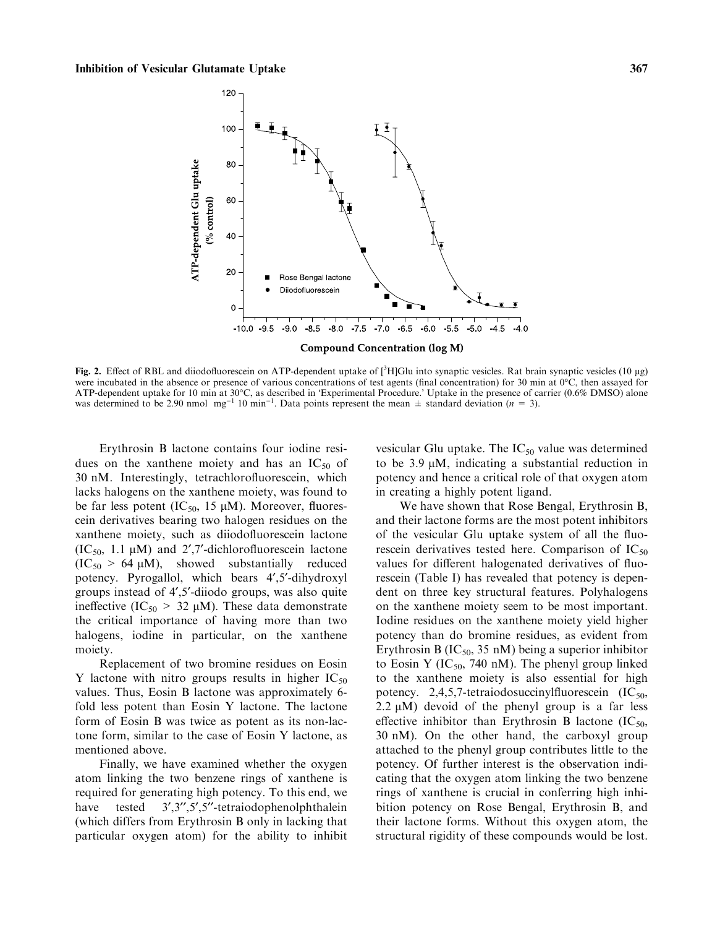

Fig. 2. Effect of RBL and diiodofluorescein on ATP-dependent uptake of  $[^3H]$ Glu into synaptic vesicles. Rat brain synaptic vesicles (10 µg) were incubated in the absence or presence of various concentrations of test agents (final concentration) for 30 min at  $0^{\circ}$ C, then assayed for ATP-dependent uptake for 10 min at 30°C, as described in 'Experimental Procedure.' Uptake in the presence of carrier (0.6% DMSO) alone was determined to be 2.90 nmol mg<sup>-1</sup> 10 min<sup>-1</sup>. Data points represent the mean  $\pm$  standard deviation (n = 3).

Erythrosin B lactone contains four iodine residues on the xanthene moiety and has an  $IC_{50}$  of 30 nM. Interestingly, tetrachlorofluorescein, which lacks halogens on the xanthene moiety, was found to be far less potent (IC<sub>50</sub>, 15  $\mu$ M). Moreover, fluorescein derivatives bearing two halogen residues on the xanthene moiety, such as diiodofluorescein lactone  $(IC<sub>50</sub>, 1.1 \mu M)$  and 2',7'-dichlorofluorescein lactone  $(IC_{50} > 64 \mu M)$ , showed substantially reduced potency. Pyrogallol, which bears 4¢,5¢-dihydroxyl groups instead of 4¢,5¢-diiodo groups, was also quite ineffective (IC<sub>50</sub> > 32  $\mu$ M). These data demonstrate the critical importance of having more than two halogens, iodine in particular, on the xanthene moiety.

Replacement of two bromine residues on Eosin Y lactone with nitro groups results in higher  $IC_{50}$ values. Thus, Eosin B lactone was approximately 6 fold less potent than Eosin Y lactone. The lactone form of Eosin B was twice as potent as its non-lactone form, similar to the case of Eosin Y lactone, as mentioned above.

Finally, we have examined whether the oxygen atom linking the two benzene rings of xanthene is required for generating high potency. To this end, we have tested  $3', 3'', 5', 5''$ -tetraiodophenolphthalein (which differs from Erythrosin B only in lacking that particular oxygen atom) for the ability to inhibit vesicular Glu uptake. The  $IC_{50}$  value was determined to be 3.9  $\mu$ M, indicating a substantial reduction in potency and hence a critical role of that oxygen atom in creating a highly potent ligand.

We have shown that Rose Bengal, Erythrosin B, and their lactone forms are the most potent inhibitors of the vesicular Glu uptake system of all the fluorescein derivatives tested here. Comparison of  $IC_{50}$ values for different halogenated derivatives of fluorescein (Table I) has revealed that potency is dependent on three key structural features. Polyhalogens on the xanthene moiety seem to be most important. Iodine residues on the xanthene moiety yield higher potency than do bromine residues, as evident from Erythrosin B  $(IC_{50}$ , 35 nM) being a superior inhibitor to Eosin Y (IC<sub>50</sub>, 740 nM). The phenyl group linked to the xanthene moiety is also essential for high potency. 2,4,5,7-tetraiodosuccinylfluorescein  $(IC_{50},$ 2.2  $\mu$ M) devoid of the phenyl group is a far less effective inhibitor than Erythrosin B lactone  $(IC_{50},$ 30 nM). On the other hand, the carboxyl group attached to the phenyl group contributes little to the potency. Of further interest is the observation indicating that the oxygen atom linking the two benzene rings of xanthene is crucial in conferring high inhibition potency on Rose Bengal, Erythrosin B, and their lactone forms. Without this oxygen atom, the structural rigidity of these compounds would be lost.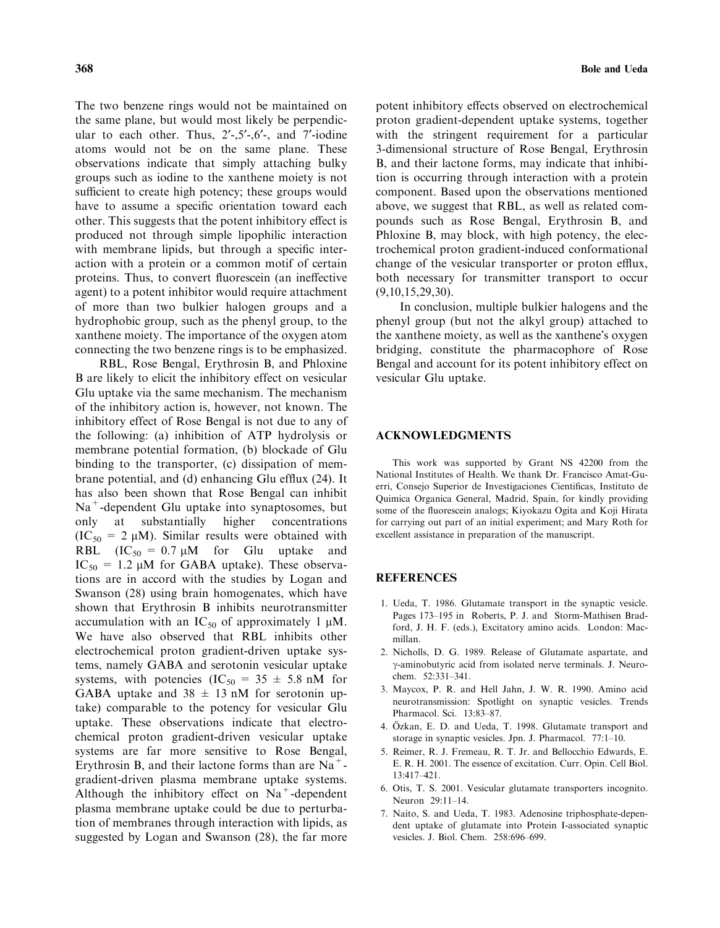The two benzene rings would not be maintained on the same plane, but would most likely be perpendicular to each other. Thus,  $2^{\prime}$ -, $5^{\prime}$ -, $6^{\prime}$ -, and  $7^{\prime}$ -iodine atoms would not be on the same plane. These observations indicate that simply attaching bulky groups such as iodine to the xanthene moiety is not sufficient to create high potency; these groups would have to assume a specific orientation toward each other. This suggests that the potent inhibitory effect is produced not through simple lipophilic interaction with membrane lipids, but through a specific interaction with a protein or a common motif of certain proteins. Thus, to convert fluorescein (an ineffective agent) to a potent inhibitor would require attachment of more than two bulkier halogen groups and a hydrophobic group, such as the phenyl group, to the xanthene moiety. The importance of the oxygen atom connecting the two benzene rings is to be emphasized.

RBL, Rose Bengal, Erythrosin B, and Phloxine B are likely to elicit the inhibitory effect on vesicular Glu uptake via the same mechanism. The mechanism of the inhibitory action is, however, not known. The inhibitory effect of Rose Bengal is not due to any of the following: (a) inhibition of ATP hydrolysis or membrane potential formation, (b) blockade of Glu binding to the transporter, (c) dissipation of membrane potential, and (d) enhancing Glu efflux (24). It has also been shown that Rose Bengal can inhibit Na<sup>+</sup>-dependent Glu uptake into synaptosomes, but only at substantially higher concentrations  $(IC<sub>50</sub> = 2 \mu M)$ . Similar results were obtained with RBL  $(IC_{50} = 0.7 \mu M)$  for Glu uptake and  $IC_{50} = 1.2 \mu M$  for GABA uptake). These observations are in accord with the studies by Logan and Swanson (28) using brain homogenates, which have shown that Erythrosin B inhibits neurotransmitter accumulation with an  $IC_{50}$  of approximately 1  $\mu$ M. We have also observed that RBL inhibits other electrochemical proton gradient-driven uptake systems, namely GABA and serotonin vesicular uptake systems, with potencies  $(IC_{50} = 35 \pm 5.8 \text{ nM}$  for GABA uptake and  $38 \pm 13$  nM for serotonin uptake) comparable to the potency for vesicular Glu uptake. These observations indicate that electrochemical proton gradient-driven vesicular uptake systems are far more sensitive to Rose Bengal, Erythrosin B, and their lactone forms than are  $Na<sup>+</sup>$ gradient-driven plasma membrane uptake systems. Although the inhibitory effect on  $Na<sup>+</sup>$ -dependent plasma membrane uptake could be due to perturbation of membranes through interaction with lipids, as suggested by Logan and Swanson (28), the far more potent inhibitory effects observed on electrochemical proton gradient-dependent uptake systems, together with the stringent requirement for a particular 3-dimensional structure of Rose Bengal, Erythrosin B, and their lactone forms, may indicate that inhibition is occurring through interaction with a protein component. Based upon the observations mentioned above, we suggest that RBL, as well as related compounds such as Rose Bengal, Erythrosin B, and Phloxine B, may block, with high potency, the electrochemical proton gradient-induced conformational change of the vesicular transporter or proton efflux, both necessary for transmitter transport to occur (9,10,15,29,30).

In conclusion, multiple bulkier halogens and the phenyl group (but not the alkyl group) attached to the xanthene moiety, as well as the xanthene's oxygen bridging, constitute the pharmacophore of Rose Bengal and account for its potent inhibitory effect on vesicular Glu uptake.

## ACKNOWLEDGMENTS

This work was supported by Grant NS 42200 from the National Institutes of Health. We thank Dr. Francisco Amat-Guerri, Consejo Superior de Investigaciones Cientificas, Instituto de Quimica Organica General, Madrid, Spain, for kindly providing some of the fluorescein analogs; Kiyokazu Ogita and Koji Hirata for carrying out part of an initial experiment; and Mary Roth for excellent assistance in preparation of the manuscript.

#### REFERENCES

- 1. Ueda, T. 1986. Glutamate transport in the synaptic vesicle. Pages 173–195 in Roberts, P. J. and Storm-Mathisen Bradford, J. H. F. (eds.), Excitatory amino acids. London: Macmillan.
- 2. Nicholls, D. G. 1989. Release of Glutamate aspartate, and  $\gamma$ -aminobutyric acid from isolated nerve terminals. J. Neurochem. 52:331–341.
- 3. Maycox, P. R. and Hell Jahn, J. W. R. 1990. Amino acid neurotransmission: Spotlight on synaptic vesicles. Trends Pharmacol. Sci. 13:83–87.
- 4. Özkan, E. D. and Ueda, T. 1998. Glutamate transport and storage in synaptic vesicles. Jpn. J. Pharmacol. 77:1–10.
- 5. Reimer, R. J. Fremeau, R. T. Jr. and Bellocchio Edwards, E. E. R. H. 2001. The essence of excitation. Curr. Opin. Cell Biol. 13:417–421.
- 6. Otis, T. S. 2001. Vesicular glutamate transporters incognito. Neuron 29:11–14.
- 7. Naito, S. and Ueda, T. 1983. Adenosine triphosphate-dependent uptake of glutamate into Protein I-associated synaptic vesicles. J. Biol. Chem. 258:696–699.